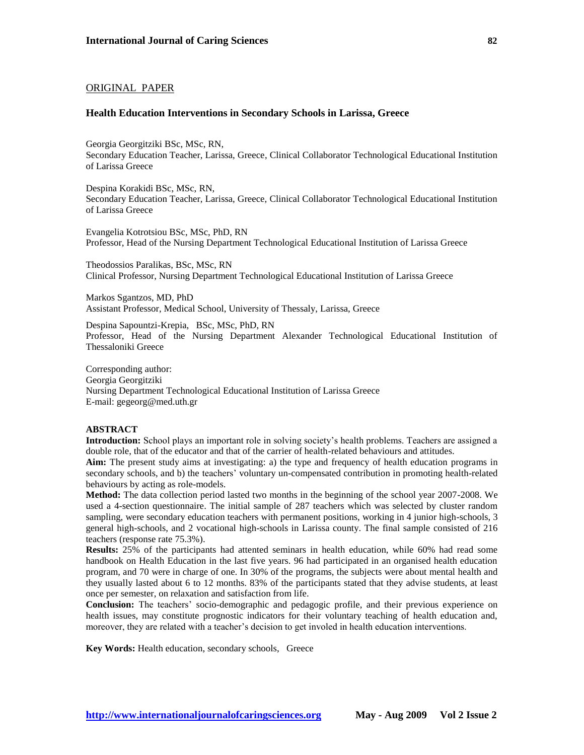# ORIGINAL PAPER

#### **Health Education Interventions in Secondary Schools in Larissa, Greece**

Georgia Georgitziki BSc, MSc, RN, Secondary Education Teacher, Larissa, Greece, Clinical Collaborator Technological Educational Institution of Larissa Greece

Despina Korakidi BSc, MSc, RN, Secondary Education Teacher, Larissa, Greece, Clinical Collaborator Technological Educational Institution of Larissa Greece

Evangelia Kotrotsiou BSc, MSc, PhD, RN Professor, Head of the Nursing Department Technological Educational Institution of Larissa Greece

Theodossios Paralikas, BSc, MSc, RN Clinical Professor, Nursing Department Technological Educational Institution of Larissa Greece

Markos Sgantzos, MD, PhD Assistant Professor, Medical School, University of Thessaly, Larissa, Greece

Despina Sapountzi-Krepia, BSc, MSc, PhD, RN Professor, Head of the Nursing Department Alexander Technological Educational Institution of Thessaloniki Greece

Corresponding author: Georgia Georgitziki Nursing Department Technological Educational Institution of Larissa Greece E-mail: gegeorg@med.uth.gr

# **ABSTRACT**

**Introduction:** School plays an important role in solving society's health problems. Teachers are assigned a double role, that of the educator and that of the carrier of health-related behaviours and attitudes.

**Aim:** The present study aims at investigating: a) the type and frequency of health education programs in secondary schools, and b) the teachers' voluntary un-compensated contribution in promoting health-related behaviours by acting as role-models.

**Method:** The data collection period lasted two months in the beginning of the school year 2007-2008. We used a 4-section questionnaire. The initial sample of 287 teachers which was selected by cluster random sampling, were secondary education teachers with permanent positions, working in 4 junior high-schools, 3 general high-schools, and 2 vocational high-schools in Larissa county. The final sample consisted of 216 teachers (response rate 75.3%).

**Results:** 25% of the participants had attented seminars in health education, while 60% had read some handbook on Health Education in the last five years. 96 had participated in an organised health education program, and 70 were in charge of one. In 30% of the programs, the subjects were about mental health and they usually lasted about 6 to 12 months. 83% of the participants stated that they advise students, at least once per semester, on relaxation and satisfaction from life.

**Conclusion:** The teachers' socio-demographic and pedagogic profile, and their previous experience on health issues, may constitute prognostic indicators for their voluntary teaching of health education and, moreover, they are related with a teacher's decision to get involed in health education interventions.

**Key Words:** Health education, secondary schools, Greece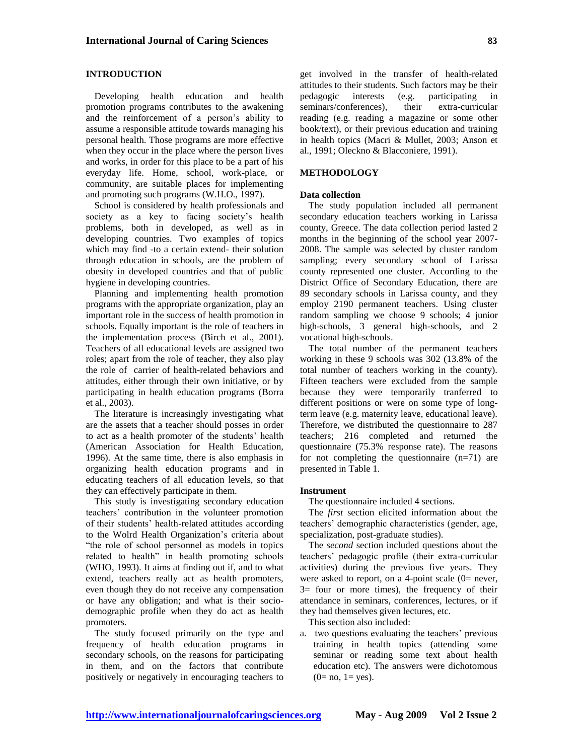# **INTRODUCTION**

Developing health education and health promotion programs contributes to the awakening and the reinforcement of a person's ability to assume a responsible attitude towards managing his personal health. Those programs are more effective when they occur in the place where the person lives and works, in order for this place to be a part of his everyday life. Home, school, work-place, or community, are suitable places for implementing and promoting such programs (W.H.O., 1997).

School is considered by health professionals and society as a key to facing society's health problems, both in developed, as well as in developing countries. Two examples of topics which may find -to a certain extend- their solution through education in schools, are the problem of obesity in developed countries and that of public hygiene in developing countries.

Planning and implementing health promotion programs with the appropriate organization, play an important role in the success of health promotion in schools. Equally important is the role of teachers in the implementation process (Birch et al., 2001). Teachers of all educational levels are assigned two roles; apart from the role of teacher, they also play the role of carrier of health-related behaviors and attitudes, either through their own initiative, or by participating in health education programs (Borra et al., 2003).

The literature is increasingly investigating what are the assets that a teacher should posses in order to act as a health promoter of the students' health (American Association for Health Education, 1996). At the same time, there is also emphasis in organizing health education programs and in educating teachers of all education levels, so that they can effectively participate in them.

This study is investigating secondary education teachers' contribution in the volunteer promotion of their students' health-related attitudes according to the Wolrd Health Organization's criteria about "the role of school personnel as models in topics related to health" in health promoting schools (WHO, 1993). It aims at finding out if, and to what extend, teachers really act as health promoters, even though they do not receive any compensation or have any obligation; and what is their sociodemographic profile when they do act as health promoters.

The study focused primarily on the type and frequency of health education programs in secondary schools, on the reasons for participating in them, and on the factors that contribute positively or negatively in encouraging teachers to get involved in the transfer of health-related attitudes to their students. Such factors may be their pedagogic interests (e.g. participating in seminars/conferences), their extra-curricular reading (e.g. reading a magazine or some other book/text), or their previous education and training in health topics (Macri & Mullet, 2003; Anson et al., 1991; Oleckno & Blacconiere, 1991).

# **METHODOLOGY**

## **Data collection**

The study population included all permanent secondary education teachers working in Larissa county, Greece. The data collection period lasted 2 months in the beginning of the school year 2007- 2008. The sample was selected by cluster random sampling; every secondary school of Larissa county represented one cluster. According to the District Office of Secondary Education, there are 89 secondary schools in Larissa county, and they employ 2190 permanent teachers. Using cluster random sampling we choose 9 schools; 4 junior high-schools, 3 general high-schools, and 2 vocational high-schools.

The total number of the permanent teachers working in these 9 schools was 302 (13.8% of the total number of teachers working in the county). Fifteen teachers were excluded from the sample because they were temporarily tranferred to different positions or were on some type of longterm leave (e.g. maternity leave, educational leave). Therefore, we distributed the questionnaire to 287 teachers; 216 completed and returned the questionnaire (75.3% response rate). The reasons for not completing the questionnaire (n=71) are presented in Table 1.

#### **Instrument**

The questionnaire included 4 sections.

The *first* section elicited information about the teachers' demographic characteristics (gender, age, specialization, post-graduate studies).

The *second* section included questions about the teachers' pedagogic profile (their extra-curricular activities) during the previous five years. They were asked to report, on a 4-point scale  $(0=$  never,  $3=$  four or more times), the frequency of their attendance in seminars, conferences, lectures, or if they had themselves given lectures, etc.

This section also included:

a. two questions evaluating the teachers' previous training in health topics (attending some seminar or reading some text about health education etc). The answers were dichotomous  $(0=$  no,  $1=$  yes).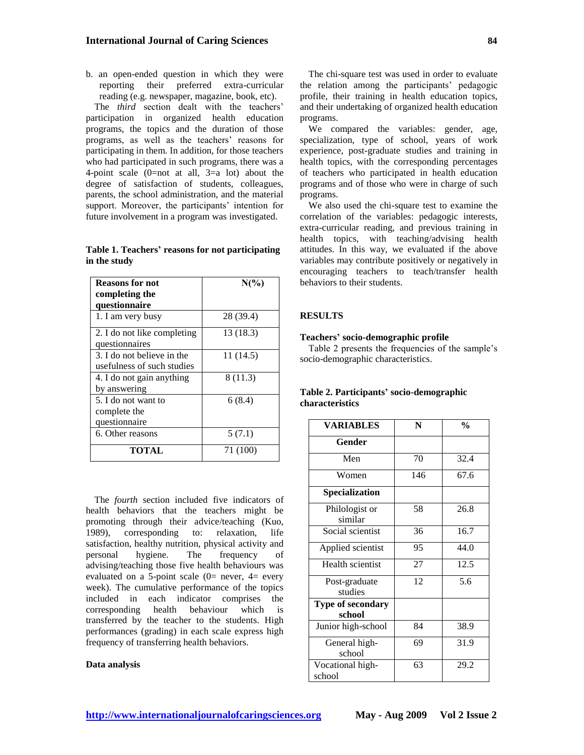b. an open-ended question in which they were reporting their preferred extra-curricular reading (e.g. newspaper, magazine, book, etc).

The *third* section dealt with the teachers' participation in organized health education programs, the topics and the duration of those programs, as well as the teachers' reasons for participating in them. In addition, for those teachers who had participated in such programs, there was a 4-point scale  $(0=$ not at all,  $3=$ a lot) about the degree of satisfaction of students, colleagues, parents, the school administration, and the material support. Moreover, the participants' intention for future involvement in a program was investigated.

**Table 1. Teachers' reasons for not participating in the study**

| <b>Reasons for not</b><br>completing the<br>questionnaire | $N(\%)$   |
|-----------------------------------------------------------|-----------|
| 1. I am very busy                                         | 28 (39.4) |
| 2. I do not like completing<br>questionnaires             | 13 (18.3) |
| 3. I do not believe in the<br>usefulness of such studies  | 11 (14.5) |
| 4. I do not gain anything<br>by answering                 | 8(11.3)   |
| 5. I do not want to<br>complete the<br>questionnaire      | 6(8.4)    |
| 6. Other reasons                                          | 5(7.1)    |
| TOTAL                                                     | 71 (100)  |

The *fourth* section included five indicators of health behaviors that the teachers might be promoting through their advice/teaching (Kuo, 1989), corresponding to: relaxation, life satisfaction, healthy nutrition, physical activity and<br>personal hygiene. The frequency of personal hygiene. The frequency of advising/teaching those five health behaviours was evaluated on a 5-point scale  $(0=$  never,  $4=$  every week). The cumulative performance of the topics included in each indicator comprises the corresponding health behaviour which is transferred by the teacher to the students. High performances (grading) in each scale express high frequency of transferring health behaviors.

#### **Data analysis**

The chi-square test was used in order to evaluate the relation among the participants' pedagogic profile, their training in health education topics, and their undertaking of organized health education programs.

We compared the variables: gender, age, specialization, type of school, years of work experience, post-graduate studies and training in health topics, with the corresponding percentages of teachers who participated in health education programs and of those who were in charge of such programs.

We also used the chi-square test to examine the correlation of the variables: pedagogic interests, extra-curricular reading, and previous training in health topics, with teaching/advising health attitudes. In this way, we evaluated if the above variables may contribute positively or negatively in encouraging teachers to teach/transfer health behaviors to their students.

# **RESULTS**

#### **Teachers' socio-demographic profile**

Table 2 presents the frequencies of the sample's socio-demographic characteristics.

# **Table 2. Participants' socio-demographic characteristics**

| <b>VARIABLES</b>            | N   | $\frac{0}{0}$ |  |  |
|-----------------------------|-----|---------------|--|--|
| Gender                      |     |               |  |  |
| Men                         | 70  | 32.4          |  |  |
| Women                       | 146 | 67.6          |  |  |
| <b>Specialization</b>       |     |               |  |  |
| Philologist or<br>similar   | 58  | 26.8          |  |  |
| Social scientist            | 36  | 16.7          |  |  |
| Applied scientist           | 95  | 44.0          |  |  |
| Health scientist            | 27  | 12.5          |  |  |
| Post-graduate<br>studies    | 12  | 5.6           |  |  |
| Type of secondary<br>school |     |               |  |  |
| Junior high-school          | 84  | 38.9          |  |  |
| General high-<br>school     | 69  | 31.9          |  |  |
| Vocational high-<br>school  | 63  | 29.2          |  |  |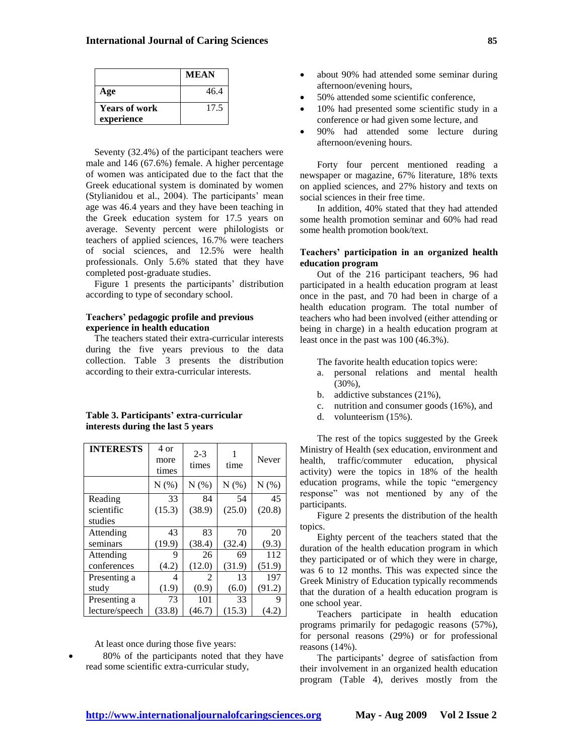|                      | <b>MEAN</b> |
|----------------------|-------------|
| Age                  | 46.4        |
| <b>Years of work</b> | 17.5        |
| experience           |             |

Seventy (32.4%) of the participant teachers were male and 146 (67.6%) female. A higher percentage of women was anticipated due to the fact that the Greek educational system is dominated by women (Stylianidou et al., 2004). The participants' mean age was 46.4 years and they have been teaching in the Greek education system for 17.5 years on average. Seventy percent were philologists or teachers of applied sciences, 16.7% were teachers of social sciences, and 12.5% were health professionals. Only 5.6% stated that they have completed post-graduate studies.

Figure 1 presents the participants' distribution according to type of secondary school.

#### **Teachers' pedagogic profile and previous experience in health education**

The teachers stated their extra-curricular interests during the five years previous to the data collection. Table 3 presents the distribution according to their extra-curricular interests.

# **Table 3. Participants' extra-curricular interests during the last 5 years**

| <b>INTERESTS</b> | 4 or<br>more<br>times | $2 - 3$<br>times | time   | Never  |  |
|------------------|-----------------------|------------------|--------|--------|--|
|                  | N(%)                  | N(%)             | N(%)   | N(%)   |  |
| Reading          | 33                    | 84               | 54     | 45     |  |
| scientific       | (15.3)                | (38.9)           | (25.0) | (20.8) |  |
| studies          |                       |                  |        |        |  |
| Attending        | 43                    | 83               | 70     | 20     |  |
| seminars         | (19.9)                | (38.4)           | (32.4) | (9.3)  |  |
| Attending        | 9                     | 26               | 69     | 112    |  |
| conferences      | (4.2)                 | (12.0)           | (31.9) | (51.9) |  |
| Presenting a     | 4                     | 2                | 13     | 197    |  |
| study            | (1.9)                 | (0.9)            | (6.0)  | (91.2) |  |
| Presenting a     | 73                    | 101              | 33     | 9      |  |
| lecture/speech   | (33.8)                | (46.7)           | (15.3) | (4.2   |  |

At least once during those five years:

 80% of the participants noted that they have read some scientific extra-curricular study,

- about 90% had attended some seminar during afternoon/evening hours,
- 50% attended some scientific conference,
- 10% had presented some scientific study in a conference or had given some lecture, and
- 90% had attended some lecture during afternoon/evening hours.

Forty four percent mentioned reading a newspaper or magazine, 67% literature, 18% texts on applied sciences, and 27% history and texts on social sciences in their free time.

In addition, 40% stated that they had attended some health promotion seminar and 60% had read some health promotion book/text.

## **Teachers' participation in an organized health education program**

Out of the 216 participant teachers, 96 had participated in a health education program at least once in the past, and 70 had been in charge of a health education program. The total number of teachers who had been involved (either attending or being in charge) in a health education program at least once in the past was 100 (46.3%).

The favorite health education topics were:

- a. personal relations and mental health (30%),
- b. addictive substances (21%),
- c. nutrition and consumer goods (16%), and
- d. volunteerism (15%).

The rest of the topics suggested by the Greek Ministry of Health (sex education, environment and health, traffic/commuter education, physical activity) were the topics in 18% of the health education programs, while the topic "emergency response" was not mentioned by any of the participants.

Figure 2 presents the distribution of the health topics.

Eighty percent of the teachers stated that the duration of the health education program in which they participated or of which they were in charge, was 6 to 12 months. This was expected since the Greek Ministry of Education typically recommends that the duration of a health education program is one school year.

Teachers participate in health education programs primarily for pedagogic reasons (57%), for personal reasons (29%) or for professional reasons (14%).

The participants' degree of satisfaction from their involvement in an organized health education program (Table 4), derives mostly from the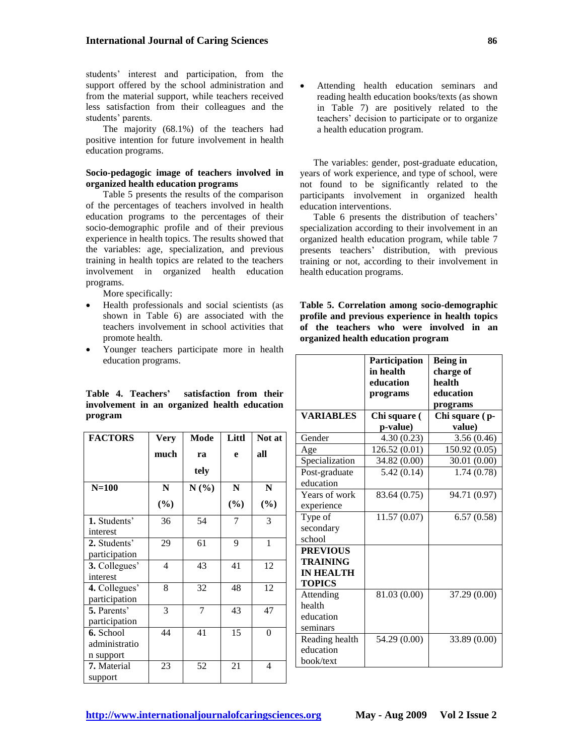students' interest and participation, from the support offered by the school administration and from the material support, while teachers received less satisfaction from their colleagues and the students' parents.

The majority (68.1%) of the teachers had positive intention for future involvement in health education programs.

## **Socio-pedagogic image of teachers involved in organized health education programs**

Table 5 presents the results of the comparison of the percentages of teachers involved in health education programs to the percentages of their socio-demographic profile and of their previous experience in health topics. The results showed that the variables: age, specialization, and previous training in health topics are related to the teachers involvement in organized health education programs.

More specifically:

- Health professionals and social scientists (as shown in Table 6) are associated with the teachers involvement in school activities that promote health.
- Younger teachers participate more in health education programs.

**Table 4. Teachers' satisfaction from their involvement in an organized health education program**

| <b>FACTORS</b> | Very      | Mode    | Littl  | Not at |  |
|----------------|-----------|---------|--------|--------|--|
|                | much      | ra      | e      | all    |  |
|                |           | tely    |        |        |  |
| $N=100$        | ${\bf N}$ | $N(\%)$ | N      | N      |  |
|                | $(\%)$    |         | $(\%)$ | $(\%)$ |  |
| 1. Students'   | 36        | 54      | 7      | 3      |  |
| interest       |           |         |        |        |  |
| 2. Students'   | 29        | 61      | 9      | 1      |  |
| participation  |           |         |        |        |  |
| 3. Collegues'  | 4         | 43      | 41     | 12     |  |
| interest       |           |         |        |        |  |
| 4. Collegues'  | 8         | 32      | 48     | 12     |  |
| participation  |           |         |        |        |  |
| 5. Parents'    | 3         | 7       | 43     | 47     |  |
| participation  |           |         |        |        |  |
| 6. School      | 44        | 41      | 15     | 0      |  |
| administratio  |           |         |        |        |  |
| n support      |           |         |        |        |  |
| 7. Material    | 23        | 52      | 21     | 4      |  |
| support        |           |         |        |        |  |

 Attending health education seminars and reading health education books/texts (as shown in Table 7) are positively related to the teachers' decision to participate or to organize a health education program.

The variables: gender, post-graduate education, years of work experience, and type of school, were not found to be significantly related to the participants involvement in organized health education interventions.

Table 6 presents the distribution of teachers' specialization according to their involvement in an organized health education program, while table 7 presents teachers' distribution, with previous training or not, according to their involvement in health education programs.

**Table 5. Correlation among socio-demographic profile and previous experience in health topics of the teachers who were involved in an organized health education program**

|                                                                         | Participation<br>in health<br>education<br>programs | <b>Being in</b><br>charge of<br>health<br>education<br>programs |
|-------------------------------------------------------------------------|-----------------------------------------------------|-----------------------------------------------------------------|
| <b>VARIABLES</b>                                                        | Chi square (                                        | Chi square (p-                                                  |
|                                                                         | p-value)                                            | value)                                                          |
| Gender                                                                  | 4.30(0.23)                                          | 3.56(0.46)                                                      |
| Age                                                                     | 126.52 (0.01)                                       | 150.92 (0.05)                                                   |
| Specialization                                                          | 34.82 (0.00)                                        | 30.01 (0.00)                                                    |
| Post-graduate<br>education                                              | 5.42(0.14)                                          | 1.74(0.78)                                                      |
| Years of work<br>experience                                             | 83.64 (0.75)                                        | 94.71 (0.97)                                                    |
| Type of<br>secondary<br>school                                          | 11.57(0.07)                                         | 6.57(0.58)                                                      |
| <b>PREVIOUS</b><br><b>TRAINING</b><br><b>IN HEALTH</b><br><b>TOPICS</b> |                                                     |                                                                 |
| Attending<br>health<br>education<br>seminars                            | 81.03 (0.00)                                        | 37.29 (0.00)                                                    |
| Reading health<br>education<br>book/text                                | 54.29 (0.00)                                        | 33.89 (0.00)                                                    |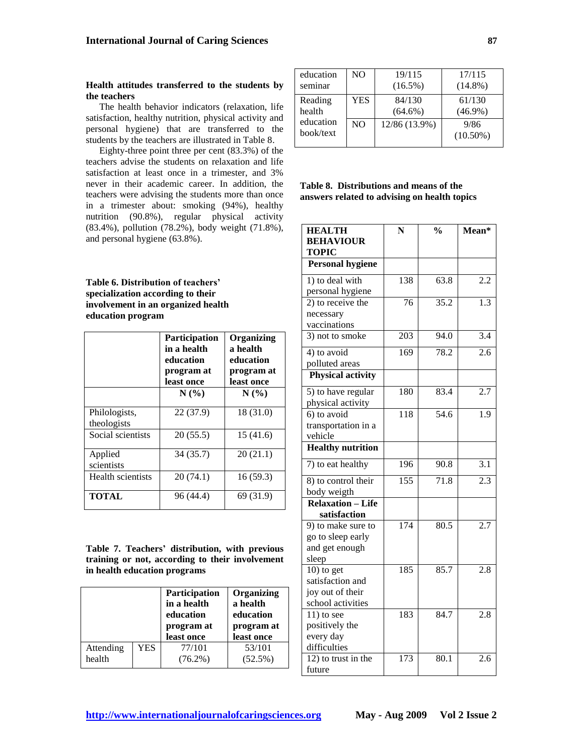#### **Health attitudes transferred to the students by the teachers**

The health behavior indicators (relaxation, life satisfaction, healthy nutrition, physical activity and personal hygiene) that are transferred to the students by the teachers are illustrated in Table 8.

Eighty-three point three per cent (83.3%) of the teachers advise the students on relaxation and life satisfaction at least once in a trimester, and 3% never in their academic career. In addition, the teachers were advising the students more than once in a trimester about: smoking (94%), healthy nutrition (90.8%), regular physical activity (83.4%), pollution (78.2%), body weight (71.8%), and personal hygiene (63.8%).

**Table 6. Distribution of teachers' specialization according to their involvement in an organized health education program**

|                              | <b>Participation</b><br>in a health<br>education<br>program at<br>least once | Organizing<br>a health<br>education<br>program at<br>least once |  |  |  |
|------------------------------|------------------------------------------------------------------------------|-----------------------------------------------------------------|--|--|--|
|                              | N(%                                                                          | N(%                                                             |  |  |  |
| Philologists,<br>theologists | 22 (37.9)                                                                    | 18 (31.0)                                                       |  |  |  |
| Social scientists            | 20(55.5)                                                                     | 15(41.6)                                                        |  |  |  |
| Applied<br>scientists        | 34 (35.7)                                                                    | 20(21.1)                                                        |  |  |  |
| Health scientists            | 20(74.1)                                                                     | 16(59.3)                                                        |  |  |  |
| <b>TOTAL</b>                 | 96 (44.4)                                                                    | 69 (31.9)                                                       |  |  |  |

**Table 7. Teachers' distribution, with previous training or not, according to their involvement in health education programs**

|           |            | <b>Participation</b><br>in a health<br>education<br>program at<br>least once | Organizing<br>a health<br>education<br>program at<br>least once |
|-----------|------------|------------------------------------------------------------------------------|-----------------------------------------------------------------|
| Attending | <b>YES</b> | 77/101                                                                       | 53/101                                                          |
| health    |            | $(76.2\%)$                                                                   | $(52.5\%)$                                                      |

| education              | NO.        | 19/115        | 17/115              |
|------------------------|------------|---------------|---------------------|
| seminar                |            | $(16.5\%)$    | $(14.8\%)$          |
| Reading                | <b>YES</b> | 84/130        | 61/130              |
| health                 |            | $(64.6\%)$    | $(46.9\%)$          |
| education<br>book/text | NO         | 12/86 (13.9%) | 9/86<br>$(10.50\%)$ |

# **Table 8. Distributions and means of the answers related to advising on health topics**

| <b>HEALTH</b>                           | N   | $\frac{0}{0}$       | Mean*            |
|-----------------------------------------|-----|---------------------|------------------|
| <b>BEHAVIOUR</b>                        |     |                     |                  |
| <b>TOPIC</b><br>Personal hygiene        |     |                     |                  |
|                                         | 138 | 63.8                | 2.2              |
| 1) to deal with                         |     |                     |                  |
| personal hygiene<br>$2)$ to receive the | 76  | 35.2                | 1.3              |
| necessary                               |     |                     |                  |
| vaccinations                            |     |                     |                  |
| 3) not to smoke                         | 203 | $\frac{94.0}{94.0}$ | 3.4              |
|                                         |     |                     |                  |
| 4) to avoid                             | 169 | 78.2                | 2.6              |
| polluted areas                          |     |                     |                  |
| <b>Physical activity</b>                |     |                     |                  |
| 5) to have regular                      | 180 | 83.4                | 2.7              |
| physical activity                       |     |                     |                  |
| 6) to avoid                             | 118 | 54.6                | 1.9              |
| transportation in a                     |     |                     |                  |
| vehicle                                 |     |                     |                  |
| <b>Healthy nutrition</b>                |     |                     |                  |
| 7) to eat healthy                       | 196 | $\frac{90.8}{90.8}$ | $\overline{3.1}$ |
| 8) to control their                     | 155 | $\overline{71.8}$   | 2.3              |
| body weigth                             |     |                     |                  |
| <b>Relaxation - Life</b>                |     |                     |                  |
| satisfaction                            |     |                     |                  |
| 9) to make sure to                      | 174 | 80.5                | 2.7              |
| go to sleep early                       |     |                     |                  |
| and get enough                          |     |                     |                  |
| sleep                                   |     |                     |                  |
| $10)$ to get                            | 185 | 85.7                | $\overline{2.8}$ |
| satisfaction and                        |     |                     |                  |
| joy out of their                        |     |                     |                  |
| school activities                       |     |                     |                  |
| $11$ ) to see                           | 183 | 84.7                | 2.8              |
| positively the                          |     |                     |                  |
| every day                               |     |                     |                  |
| difficulties                            |     |                     |                  |
| $12$ ) to trust in the                  | 173 | 80.1                | 2.6              |
| future                                  |     |                     |                  |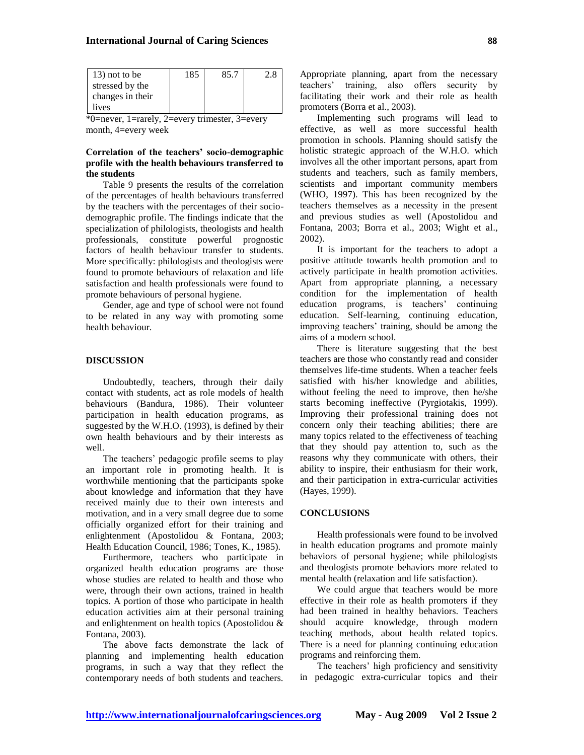| 13) not to be    | 185 | 85.7 |  |
|------------------|-----|------|--|
| stressed by the  |     |      |  |
| changes in their |     |      |  |
| lives            |     |      |  |

\*0=never, 1=rarely, 2=every trimester, 3=every month, 4=every week

# **Correlation of the teachers' socio-demographic profile with the health behaviours transferred to the students**

Table 9 presents the results of the correlation of the percentages of health behaviours transferred by the teachers with the percentages of their sociodemographic profile. The findings indicate that the specialization of philologists, theologists and health professionals, constitute powerful prognostic factors of health behaviour transfer to students. More specifically: philologists and theologists were found to promote behaviours of relaxation and life satisfaction and health professionals were found to promote behaviours of personal hygiene.

Gender, age and type of school were not found to be related in any way with promoting some health behaviour.

#### **DISCUSSION**

Undoubtedly, teachers, through their daily contact with students, act as role models of health behaviours (Bandura, 1986). Their volunteer participation in health education programs, as suggested by the W.H.O. (1993), is defined by their own health behaviours and by their interests as well.

The teachers' pedagogic profile seems to play an important role in promoting health. It is worthwhile mentioning that the participants spoke about knowledge and information that they have received mainly due to their own interests and motivation, and in a very small degree due to some officially organized effort for their training and enlightenment (Apostolidou & Fontana, 2003; Health Education Council, 1986; Tones, K., 1985).

Furthermore, teachers who participate in organized health education programs are those whose studies are related to health and those who were, through their own actions, trained in health topics. A portion of those who participate in health education activities aim at their personal training and enlightenment on health topics (Apostolidou & Fontana, 2003).

The above facts demonstrate the lack of planning and implementing health education programs, in such a way that they reflect the contemporary needs of both students and teachers. Appropriate planning, apart from the necessary teachers' training, also offers security by facilitating their work and their role as health promoters (Borra et al., 2003).

Implementing such programs will lead to effective, as well as more successful health promotion in schools. Planning should satisfy the holistic strategic approach of the W.H.O. which involves all the other important persons, apart from students and teachers, such as family members, scientists and important community members (WHO, 1997). This has been recognized by the teachers themselves as a necessity in the present and previous studies as well (Apostolidou and Fontana, 2003; Borra et al., 2003; Wight et al., 2002).

It is important for the teachers to adopt a positive attitude towards health promotion and to actively participate in health promotion activities. Apart from appropriate planning, a necessary condition for the implementation of health education programs, is teachers' continuing education. Self-learning, continuing education, improving teachers' training, should be among the aims of a modern school.

There is literature suggesting that the best teachers are those who constantly read and consider themselves life-time students. When a teacher feels satisfied with his/her knowledge and abilities, without feeling the need to improve, then he/she starts becoming ineffective (Pyrgiotakis, 1999). Improving their professional training does not concern only their teaching abilities; there are many topics related to the effectiveness of teaching that they should pay attention to, such as the reasons why they communicate with others, their ability to inspire, their enthusiasm for their work, and their participation in extra-curricular activities (Hayes, 1999).

#### **CONCLUSIONS**

Health professionals were found to be involved in health education programs and promote mainly behaviors of personal hygiene; while philologists and theologists promote behaviors more related to mental health (relaxation and life satisfaction).

We could argue that teachers would be more effective in their role as health promoters if they had been trained in healthy behaviors. Teachers should acquire knowledge, through modern teaching methods, about health related topics. There is a need for planning continuing education programs and reinforcing them.

The teachers' high proficiency and sensitivity in pedagogic extra-curricular topics and their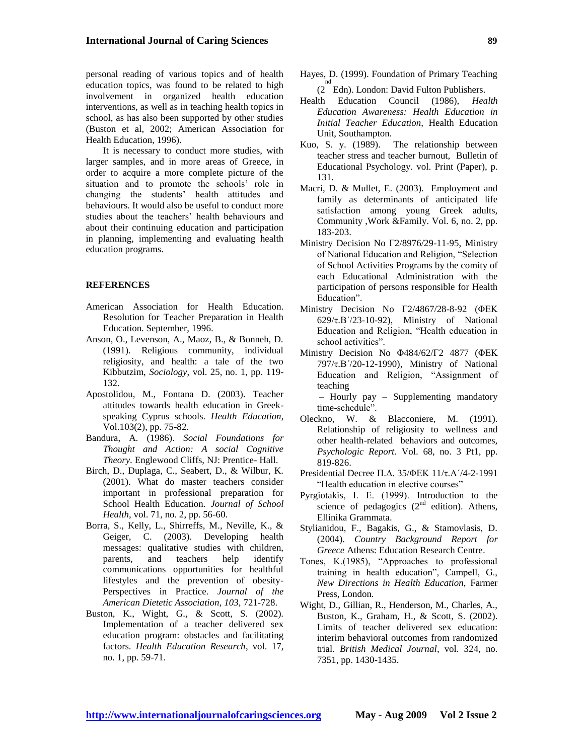personal reading of various topics and of health education topics, was found to be related to high involvement in organized health education interventions, as well as in teaching health topics in school, as has also been supported by other studies (Buston et al, 2002; American Association for Health Education, 1996).

It is necessary to conduct more studies, with larger samples, and in more areas of Greece, in order to acquire a more complete picture of the situation and to promote the schools' role in changing the students' health attitudes and behaviours. It would also be useful to conduct more studies about the teachers' health behaviours and about their continuing education and participation in planning, implementing and evaluating health education programs.

#### **REFERENCES**

- American Association for Health Education. Resolution for Teacher Preparation in Health Education. September, 1996.
- Anson, O., Levenson, A., Maoz, B., & Bonneh, D. (1991). Religious community, individual religiosity, and health: a tale of the two Kibbutzim, *Sociology*, vol. 25, no. 1, pp. 119- 132.
- Apostolidou, M., Fontana D. (2003). Teacher attitudes towards health education in Greekspeaking Cyprus schools. *Health Education*, Vol.103(2), pp. 75-82.
- Bandura, A. (1986). *Social Foundations for Thought and Action: A social Cognitive Theory*. Englewood Cliffs, NJ: Prentice- Hall.
- Birch, D., Duplaga, C., Seabert, D., & Wilbur, K. (2001). What do master teachers consider important in professional preparation for School Health Education. *Journal of School Health*, vol. 71, no. 2, pp. 56-60.
- Borra, S., Kelly, L., Shirreffs, M., Neville, K., & Geiger, C. (2003). Developing health messages: qualitative studies with children, parents, and teachers help identify communications opportunities for healthful lifestyles and the prevention of obesity-Perspectives in Practice. *Journal of the American Dietetic Association, 103,* 721-728.
- Buston, K., Wight, G., & Scott, S. (2002). Implementation of a teacher delivered sex education program: obstacles and facilitating factors. *Health Education Research*, vol. 17, no. 1, pp. 59-71.
- Hayes, D. (1999). Foundation of Primary Teaching <sup>nd</sup> Edn). London: David Fulton Publishers.
- Health Education Council (1986), *Health Education Awareness: Health Education in Initial Teacher Education,* Health Education Unit, Southampton.
- Kuo, S. y. (1989). The relationship between teacher stress and teacher burnout, Bulletin of Educational Psychology. vol. Print (Paper), p. 131.
- Macri, D. & Mullet, E. (2003). Employment and family as determinants of anticipated life satisfaction among young Greek adults, Community ,Work &Family. Vol. 6, no. 2, pp. 183-203.
- Ministry Decision No Γ2/8976/29-11-95, Ministry of National Education and Religion, "Selection of School Activities Programs by the comity of each Educational Administration with the participation of persons responsible for Health Education".
- Ministry Decision No Γ2/4867/28-8-92 (ΦΕΚ 629/τ.Β΄/23-10-92), Ministry of National Education and Religion, "Health education in school activities".
- Ministry Decision No Φ484/62/Γ2 4877 (ΦΕΚ 797/τ.Β΄/20-12-1990), Ministry of National Education and Religion, "Assignment of teaching – Hourly pay – Supplementing mandatory

time-schedule".

- Oleckno, W. & Blacconiere, M. (1991). Relationship of religiosity to wellness and other health-related behaviors and outcomes, *Psychologic Report*. Vol. 68, no. 3 Pt1, pp. 819-826.
- Presidential Decree Π.Δ. 35/ΦΕΚ  $11/\tau.A'/4-2-1991$ "Health education in elective courses"
- Pyrgiotakis, I. E. (1999). Introduction to the science of pedagogics  $(2<sup>nd</sup>$  edition). Athens, Ellinika Grammata.
- Stylianidou, F., Bagakis, G., & Stamovlasis, D. (2004). *Country Background Report for Greece* Athens: Education Research Centre.
- Tones, K.(1985), "Approaches to professional training in health education", Campell, G., *New Directions in Health Education,* Farmer Press, London.
- Wight, D., Gillian, R., Henderson, M., Charles, A., Buston, K., Graham, H., & Scott, S. (2002). Limits of teacher delivered sex education: interim behavioral outcomes from randomized trial. *British Medical Journal*, vol. 324, no. 7351, pp. 1430-1435.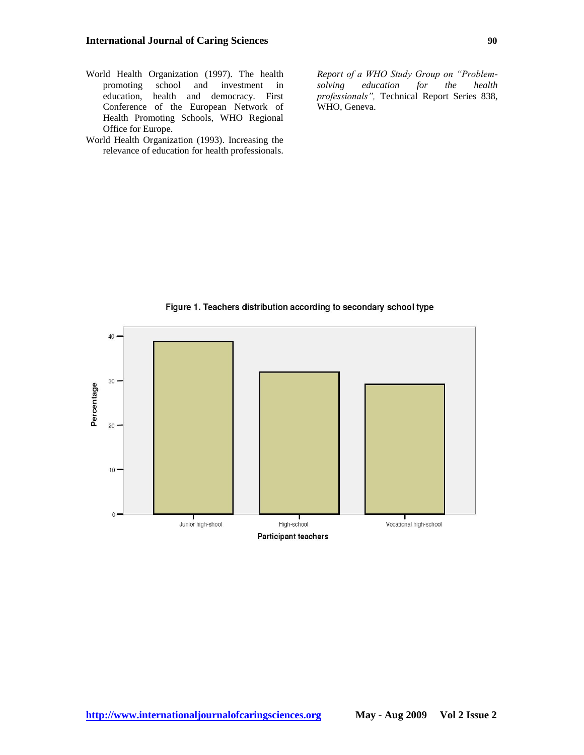- World Health Organization (1997). The health promoting school and investment in education, health and democracy. First Conference of the European Network of Health Promoting Schools, WHO Regional Office for Europe.
- World Health Organization (1993). Increasing the relevance of education for health professionals.

*Report of a WHO Study Group on "Problemsolving education for the health professionals",* Technical Report Series 838, WHO, Geneva.



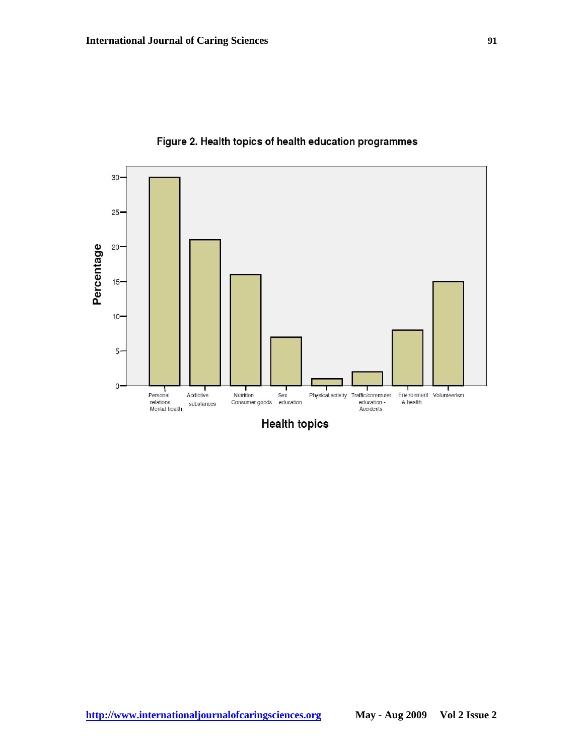

Figure 2. Health topics of health education programmes